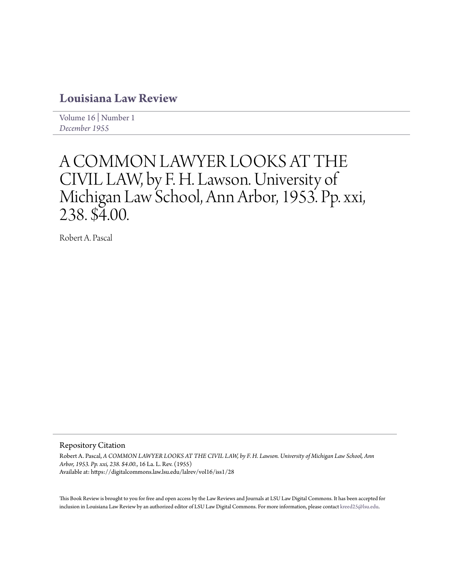## **[Louisiana Law Review](https://digitalcommons.law.lsu.edu/lalrev)**

[Volume 16](https://digitalcommons.law.lsu.edu/lalrev/vol16) | [Number 1](https://digitalcommons.law.lsu.edu/lalrev/vol16/iss1) *[December 1955](https://digitalcommons.law.lsu.edu/lalrev/vol16/iss1)*

# A COMMON LAWYER LOOKS AT THE CIVIL LAW, by F. H. Lawson. University of Michigan Law School, Ann Arbor, 1953. Pp. xxi, 238. \$4.00.

Robert A. Pascal

#### Repository Citation

Robert A. Pascal, *A COMMON LAWYER LOOKS AT THE CIVIL LAW, by F. H. Lawson. University of Michigan Law School, Ann Arbor, 1953. Pp. xxi, 238. \$4.00.*, 16 La. L. Rev. (1955) Available at: https://digitalcommons.law.lsu.edu/lalrev/vol16/iss1/28

This Book Review is brought to you for free and open access by the Law Reviews and Journals at LSU Law Digital Commons. It has been accepted for inclusion in Louisiana Law Review by an authorized editor of LSU Law Digital Commons. For more information, please contact [kreed25@lsu.edu](mailto:kreed25@lsu.edu).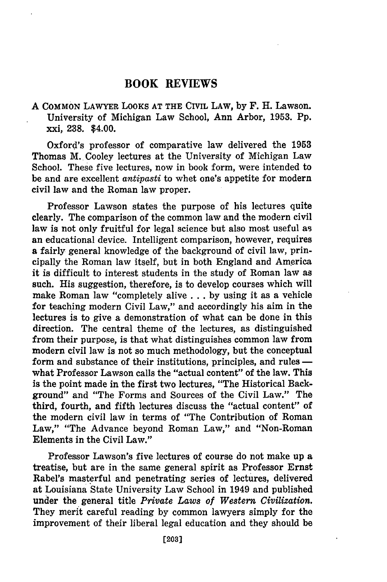### **BOOK REVIEWS**

#### **A COMMON LAWYER LOOKS AT THE CIVIL LAW, by** F. H. Lawson. University of Michigan Law School, Ann Arbor, **1953. Pp.** xxi, **238.** \$4.00.

Oxford's professor of comparative law delivered the **1953** Thomas M. Cooley lectures at the University of Michigan Law School. These five lectures, now in book form, were intended to be and are excellent *antipasti* to whet one's appetite for modern civil law and the Roman law proper.

Professor Lawson states the purpose of his lectures quite clearly. The comparison of the common law and the modern civil law is not only fruitful for legal science but also most useful as an educational device. Intelligent comparison, however, requires a fairly general knowledge of the background of civil law, principally the Roman law itself, but in both England and America it is difficult to interest students in the study of Roman law as such. His suggestion, therefore, is to develop courses which will make Roman law "completely alive **... by** using it as a vehicle for teaching modern Civil Law," and accordingly his aim in the lectures is to give a demonstration of what can be done in this direction. The central theme of the lectures, as distinguished from their purpose, is that what distinguishes common law from modern civil law is not so much methodology, but the conceptual form and substance of their institutions, principles, and rules  what Professor Lawson calls the "actual content" of the law. This is the point made in the first two lectures, "The Historical Background" and "The Forms and Sources of the Civil Law." The third, fourth, and fifth lectures discuss the "actual content" of the modern civil law in terms of "The Contribution of Roman Law," "The Advance beyond Roman Law," and "Non-Roman Elements in the Civil Law."

Professor Lawson's five lectures of course do not make up a treatise, but are in the same general spirit as Professor Ernst Rabel's masterful and penetrating series of lectures, delivered at Louisiana State University Law School in 1949 and published under the general title *Private Laws of Western Civilization.* They merit careful reading by common lawyers simply for the improvement of their liberal legal education and they should be